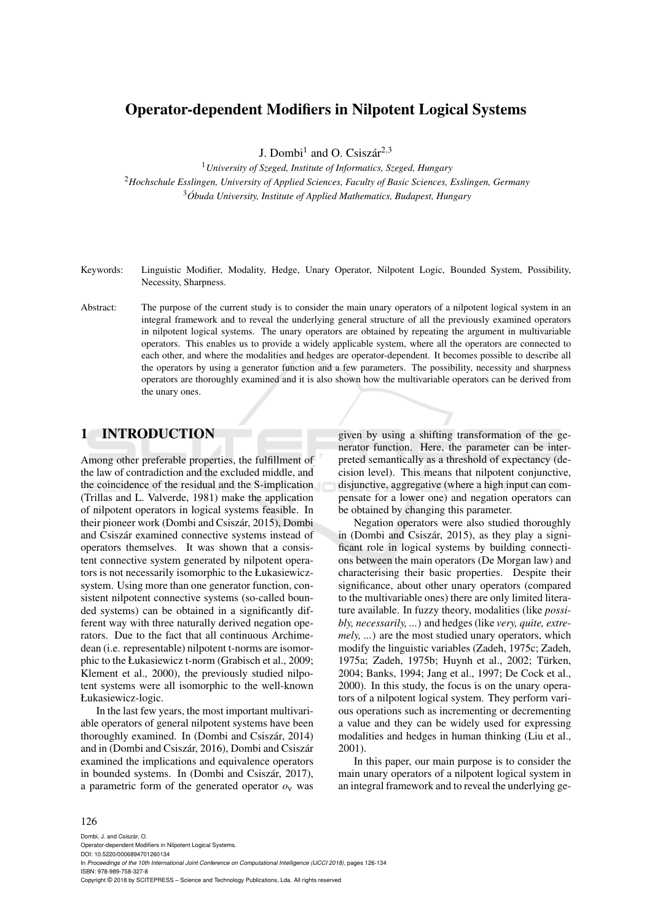## Operator-dependent Modifiers in Nilpotent Logical Systems

J. Dombi<sup>1</sup> and O. Csiszár<sup>2,3</sup>

<sup>1</sup>*University of Szeged, Institute of Informatics, Szeged, Hungary*

<sup>2</sup>*Hochschule Esslingen, University of Applied Sciences, Faculty of Basic Sciences, Esslingen, Germany* <sup>3</sup>*Obuda University, Institute of Applied Mathematics, Budapest, Hungary ´*

- Keywords: Linguistic Modifier, Modality, Hedge, Unary Operator, Nilpotent Logic, Bounded System, Possibility, Necessity, Sharpness.
- Abstract: The purpose of the current study is to consider the main unary operators of a nilpotent logical system in an integral framework and to reveal the underlying general structure of all the previously examined operators in nilpotent logical systems. The unary operators are obtained by repeating the argument in multivariable operators. This enables us to provide a widely applicable system, where all the operators are connected to each other, and where the modalities and hedges are operator-dependent. It becomes possible to describe all the operators by using a generator function and a few parameters. The possibility, necessity and sharpness operators are thoroughly examined and it is also shown how the multivariable operators can be derived from the unary ones.

### 1 INTRODUCTION

Among other preferable properties, the fulfillment of the law of contradiction and the excluded middle, and the coincidence of the residual and the S-implication (Trillas and L. Valverde, 1981) make the application of nilpotent operators in logical systems feasible. In their pioneer work (Dombi and Csiszár, 2015), Dombi and Csiszár examined connective systems instead of operators themselves. It was shown that a consistent connective system generated by nilpotent operators is not necessarily isomorphic to the Łukasiewiczsystem. Using more than one generator function, consistent nilpotent connective systems (so-called bounded systems) can be obtained in a significantly different way with three naturally derived negation operators. Due to the fact that all continuous Archimedean (i.e. representable) nilpotent t-norms are isomorphic to the Łukasiewicz t-norm (Grabisch et al., 2009; Klement et al., 2000), the previously studied nilpotent systems were all isomorphic to the well-known Łukasiewicz-logic.

In the last few years, the most important multivariable operators of general nilpotent systems have been thoroughly examined. In (Dombi and Csiszár, 2014) and in (Dombi and Csiszár, 2016), Dombi and Csiszár examined the implications and equivalence operators in bounded systems. In (Dombi and Csiszár, 2017), a parametric form of the generated operator *o*<sup>ν</sup> was

given by using a shifting transformation of the generator function. Here, the parameter can be interpreted semantically as a threshold of expectancy (decision level). This means that nilpotent conjunctive, disjunctive, aggregative (where a high input can compensate for a lower one) and negation operators can be obtained by changing this parameter.

Negation operators were also studied thoroughly in (Dombi and Csiszár, 2015), as they play a significant role in logical systems by building connections between the main operators (De Morgan law) and characterising their basic properties. Despite their significance, about other unary operators (compared to the multivariable ones) there are only limited literature available. In fuzzy theory, modalities (like *possibly, necessarily, ...*) and hedges (like *very, quite, extremely, ...*) are the most studied unary operators, which modify the linguistic variables (Zadeh, 1975c; Zadeh, 1975a; Zadeh, 1975b; Huynh et al., 2002; Türken, 2004; Banks, 1994; Jang et al., 1997; De Cock et al., 2000). In this study, the focus is on the unary operators of a nilpotent logical system. They perform various operations such as incrementing or decrementing a value and they can be widely used for expressing modalities and hedges in human thinking (Liu et al., 2001).

In this paper, our main purpose is to consider the main unary operators of a nilpotent logical system in an integral framework and to reveal the underlying ge-

#### 126

Dombi, J. and Csiszár, O. Operator-dependent Modifiers in Nilpotent Logical Systems. DOI: 10.5220/0006894701260134 In *Proceedings of the 10th International Joint Conference on Computational Intelligence (IJCCI 2018)*, pages 126-134 ISBN: 978-989-758-327-8 Copyright © 2018 by SCITEPRESS – Science and Technology Publications, Lda. All rights reserved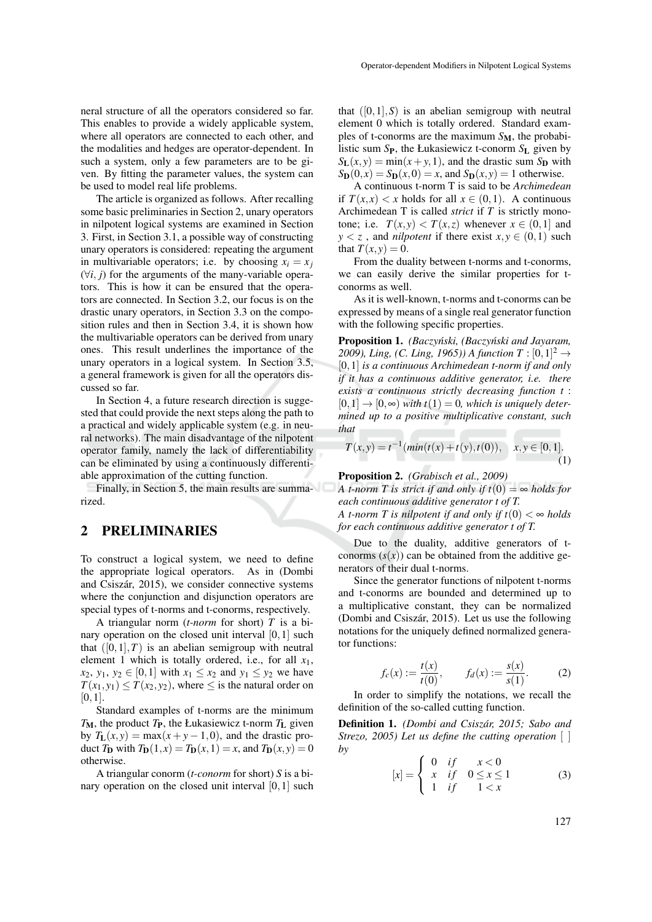neral structure of all the operators considered so far. This enables to provide a widely applicable system, where all operators are connected to each other, and the modalities and hedges are operator-dependent. In such a system, only a few parameters are to be given. By fitting the parameter values, the system can be used to model real life problems.

The article is organized as follows. After recalling some basic preliminaries in Section 2, unary operators in nilpotent logical systems are examined in Section 3. First, in Section 3.1, a possible way of constructing unary operators is considered: repeating the argument in multivariable operators; i.e. by choosing  $x_i = x_j$ (∀*i*, *j*) for the arguments of the many-variable operators. This is how it can be ensured that the operators are connected. In Section 3.2, our focus is on the drastic unary operators, in Section 3.3 on the composition rules and then in Section 3.4, it is shown how the multivariable operators can be derived from unary ones. This result underlines the importance of the unary operators in a logical system. In Section 3.5, a general framework is given for all the operators discussed so far.

In Section 4, a future research direction is suggested that could provide the next steps along the path to a practical and widely applicable system (e.g. in neural networks). The main disadvantage of the nilpotent operator family, namely the lack of differentiability can be eliminated by using a continuously differentiable approximation of the cutting function.

Finally, in Section 5, the main results are summarized.

### 2 PRELIMINARIES

To construct a logical system, we need to define the appropriate logical operators. As in (Dombi and Csiszár, 2015), we consider connective systems where the conjunction and disjunction operators are special types of t-norms and t-conorms, respectively.

A triangular norm (*t-norm* for short) *T* is a binary operation on the closed unit interval  $[0,1]$  such that  $([0,1],T)$  is an abelian semigroup with neutral element 1 which is totally ordered, i.e., for all *x*1, *x*<sub>2</sub>, *y*<sub>1</sub>, *y*<sub>2</sub> ∈ [0, 1] with *x*<sub>1</sub> ≤ *x*<sub>2</sub> and *y*<sub>1</sub> ≤ *y*<sub>2</sub> we have  $T(x_1, y_1) \leq T(x_2, y_2)$ , where  $\leq$  is the natural order on  $[0,1]$ .

Standard examples of t-norms are the minimum  $T_M$ , the product  $T_P$ , the Łukasiewicz t-norm  $T_L$  given by  $T_L(x, y) = \max(x+y-1, 0)$ , and the drastic product  $T_D$  with  $T_D(1, x) = T_D(x, 1) = x$ , and  $T_D(x, y) = 0$ otherwise.

A triangular conorm (*t-conorm* for short) *S* is a binary operation on the closed unit interval [0,1] such

that  $([0,1], S)$  is an abelian semigroup with neutral element 0 which is totally ordered. Standard examples of t-conorms are the maximum *S*M, the probabilistic sum *S*P, the Łukasiewicz t-conorm *S*<sup>L</sup> given by  $S_{L}(x, y) = min(x + y, 1)$ , and the drastic sum  $S_{D}$  with  $S_{\mathbf{D}}(0, x) = S_{\mathbf{D}}(x, 0) = x$ , and  $S_{\mathbf{D}}(x, y) = 1$  otherwise.

A continuous t-norm T is said to be *Archimedean* if  $T(x,x) < x$  holds for all  $x \in (0,1)$ . A continuous Archimedean T is called *strict* if *T* is strictly monotone; i.e.  $T(x, y) < T(x, z)$  whenever  $x \in (0, 1]$  and  $y < z$ , and *nilpotent* if there exist  $x, y \in (0, 1)$  such that  $T(x, y) = 0$ .

From the duality between t-norms and t-conorms, we can easily derive the similar properties for tconorms as well.

As it is well-known, t-norms and t-conorms can be expressed by means of a single real generator function with the following specific properties.

Proposition 1. *(Baczyński, (Baczyński and Jayaram,* 2009), *Ling, (C. Ling, 1965)*) *A function*  $T : [0,1]^2 \rightarrow$ [0,1] *is a continuous Archimedean t-norm if and only if it has a continuous additive generator, i.e. there exists a continuous strictly decreasing function t* :  $[0,1] \rightarrow [0,\infty)$  *with*  $t(1) = 0$ *, which is uniquely determined up to a positive multiplicative constant, such that*

$$
T(x,y) = t^{-1}(\min(t(x) + t(y), t(0)), \quad x, y \in [0,1].
$$
\n(1)

Proposition 2. *(Grabisch et al., 2009)*

*A t-norm T is strict if and only if*  $t(0) = \infty$  *holds for each continuous additive generator t of T. A t-norm T is nilpotent if and only if t*(0)  $< \infty$  *holds* 

*for each continuous additive generator t of T.*

Due to the duality, additive generators of tconorms  $(s(x))$  can be obtained from the additive generators of their dual t-norms.

Since the generator functions of nilpotent t-norms and t-conorms are bounded and determined up to a multiplicative constant, they can be normalized (Dombi and Csiszár, 2015). Let us use the following notations for the uniquely defined normalized generator functions:

$$
f_c(x) := \frac{t(x)}{t(0)}, \qquad f_d(x) := \frac{s(x)}{s(1)}.
$$
 (2)

In order to simplify the notations, we recall the definition of the so-called cutting function.

Definition 1. *(Dombi and Csiszar, 2015; Sabo and ´ Strezo, 2005) Let us define the cutting operation* [ ] *by*

$$
[x] = \begin{cases} 0 & if & x < 0 \\ x & if & 0 \le x \le 1 \\ 1 & if & 1 < x \end{cases}
$$
 (3)

127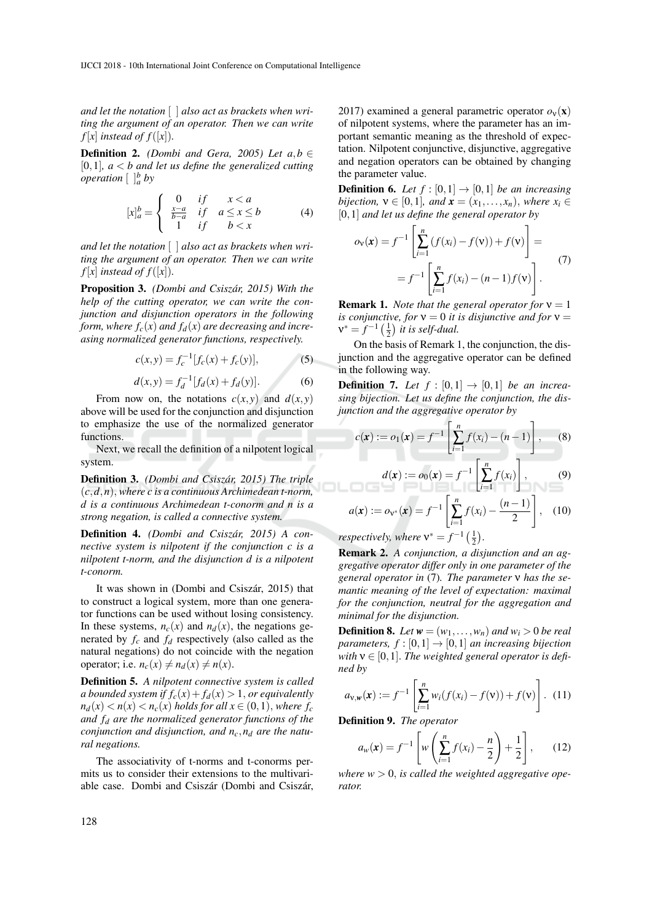*and let the notation* [ ] *also act as brackets when writing the argument of an operator. Then we can write*  $f[x]$  *instead of*  $f([x])$ *.* 

**Definition 2.** *(Dombi and Gera, 2005) Let a,b* ∈ [0,1],  $a < b$  and let us define the generalized cutting *operation*  $\left[\begin{array}{c}b\end{array}\right]_a^b$  *by* 

$$
[x]_a^b = \begin{cases} 0 & \text{if} & x < a \\ \frac{x-a}{b-a} & \text{if} & a \le x \le b \\ 1 & \text{if} & b < x \end{cases} \tag{4}
$$

*and let the notation* [ ] *also act as brackets when writing the argument of an operator. Then we can write*  $f[x]$  *instead of*  $f([x])$ *.* 

Proposition 3. *(Dombi and Csiszar, 2015) With the ´ help of the cutting operator, we can write the conjunction and disjunction operators in the following form, where*  $f_c(x)$  *and*  $f_d(x)$  *are decreasing and increasing normalized generator functions, respectively.*

$$
c(x, y) = f_c^{-1}[f_c(x) + f_c(y)],
$$
 (5)

$$
d(x, y) = f_d^{-1} [f_d(x) + f_d(y)].
$$
 (6)

From now on, the notations  $c(x, y)$  and  $d(x, y)$ above will be used for the conjunction and disjunction to emphasize the use of the normalized generator functions.

Next, we recall the definition of a nilpotent logical system.

Definition 3. *(Dombi and Csiszar, 2015) The triple ´* (*c*,*d*,*n*), *where c is a continuous Archimedean t-norm, d is a continuous Archimedean t-conorm and n is a strong negation, is called a connective system.*

Definition 4. *(Dombi and Csiszar, 2015) A con- ´ nective system is nilpotent if the conjunction c is a nilpotent t-norm, and the disjunction d is a nilpotent t-conorm.*

It was shown in (Dombi and Csiszár, 2015) that to construct a logical system, more than one generator functions can be used without losing consistency. In these systems,  $n_c(x)$  and  $n_d(x)$ , the negations generated by *f<sup>c</sup>* and *f<sup>d</sup>* respectively (also called as the natural negations) do not coincide with the negation operator; i.e.  $n_c(x) \neq n_d(x) \neq n(x)$ .

Definition 5. *A nilpotent connective system is called a bounded system if*  $f_c(x) + f_d(x) > 1$ , *or equivalently*  $n_d(x) < n(x) < n_c(x)$  *holds for all*  $x \in (0,1)$ *, where f<sub>c</sub> and f<sup>d</sup> are the normalized generator functions of the conjunction and disjunction, and nc*,*n<sup>d</sup> are the natural negations.*

The associativity of t-norms and t-conorms permits us to consider their extensions to the multivariable case. Dombi and Csiszár (Dombi and Csiszár, 2017) examined a general parametric operator  $o<sub>v</sub>(**x**)$ of nilpotent systems, where the parameter has an important semantic meaning as the threshold of expectation. Nilpotent conjunctive, disjunctive, aggregative and negation operators can be obtained by changing the parameter value.

**Definition 6.** Let  $f : [0,1] \rightarrow [0,1]$  be an increasing *bijection,*  $v \in [0,1]$ *, and*  $\mathbf{x} = (x_1, \ldots, x_n)$ *, where*  $x_i \in$ [0,1] *and let us define the general operator by*

$$
o_{\mathbf{v}}(\mathbf{x}) = f^{-1} \left[ \sum_{i=1}^{n} (f(x_i) - f(\mathbf{v})) + f(\mathbf{v}) \right] =
$$
  
=  $f^{-1} \left[ \sum_{i=1}^{n} f(x_i) - (n-1)f(\mathbf{v}) \right].$  (7)

**Remark 1.** *Note that the general operator for*  $v = 1$ *is conjunctive, for*  $v = 0$  *it is disjunctive and for*  $v =$  $v^* = f^{-1}(\frac{1}{2})$  *it is self-dual.* 

On the basis of Remark 1, the conjunction, the disjunction and the aggregative operator can be defined in the following way.

**Definition 7.** Let  $f : [0,1] \rightarrow [0,1]$  be an increa*sing bijection. Let us define the conjunction, the disjunction and the aggregative operator by*

$$
c(\mathbf{x}) := o_1(\mathbf{x}) = f^{-1} \left[ \sum_{i=1}^n f(x_i) - (n-1) \right], \qquad (8)
$$

$$
d(\mathbf{x}) := o_0(\mathbf{x}) = f^{-1} \left[ \sum_{i=1}^n f(x_i) \right],\tag{9}
$$

$$
a(\mathbf{x}) := o_{\mathbf{v}^*}(\mathbf{x}) = f^{-1} \left[ \sum_{i=1}^n f(x_i) - \frac{(n-1)}{2} \right], \quad (10)
$$

*respectively, where*  $v^* = f^{-1}(\frac{1}{2})$ .

Remark 2. *A conjunction, a disjunction and an aggregative operator differ only in one parameter of the general operator in* (7)*. The parameter* ν *has the semantic meaning of the level of expectation: maximal for the conjunction, neutral for the aggregation and minimal for the disjunction.*

**Definition 8.** Let  $w = (w_1, \ldots, w_n)$  and  $w_i > 0$  be real *parameters,*  $f : [0,1] \rightarrow [0,1]$  *an increasing bijection* with  $v \in [0, 1]$ . The weighted general operator is defi*ned by*

$$
a_{\mathbf{v},\mathbf{w}}(\mathbf{x}) := f^{-1}\left[\sum_{i=1}^n w_i (f(x_i) - f(\mathbf{v})) + f(\mathbf{v})\right]. \tag{11}
$$

Definition 9. *The operator*

$$
a_w(\mathbf{x}) = f^{-1} \left[ w \left( \sum_{i=1}^n f(x_i) - \frac{n}{2} \right) + \frac{1}{2} \right],
$$
 (12)

where  $w > 0$ , is called the weighted aggregative ope*rator.*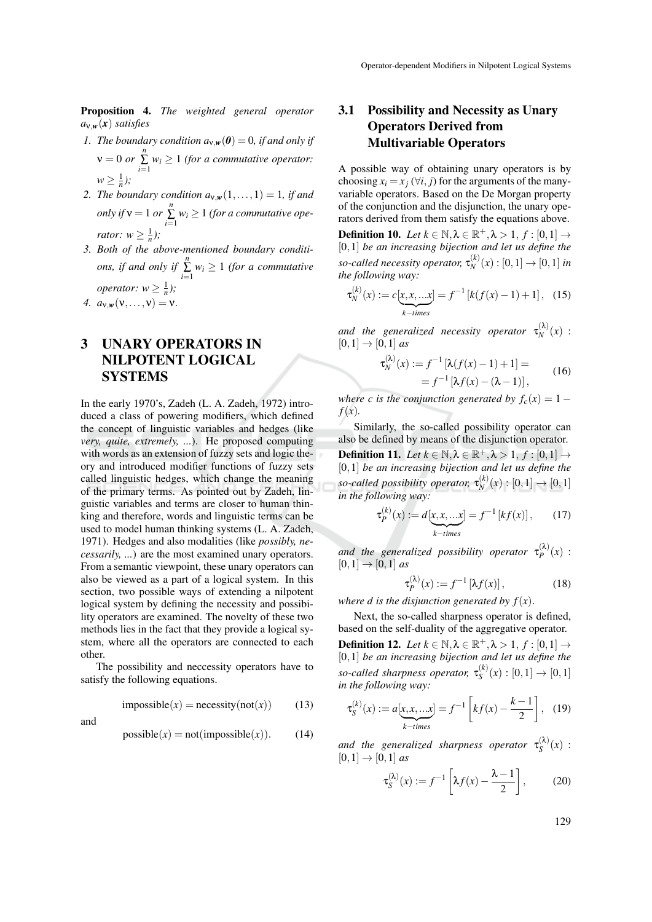Proposition 4. *The weighted general operator a*ν,*w*(*x*) *satisfies*

- *1. The boundary condition*  $a_{v,w}(0) = 0$ *, if and only if*  $\nu = 0$  *or*  $\sum_{i=1}^{n} w_i \ge 1$  *(for a commutative operator:*  $w \geq \frac{1}{n}$ ;
- *2. The boundary condition*  $a_{v,w}(1,\ldots,1) = 1$ *, if and only if*  $v = 1$  *or*  $\sum_{i=1}^{n} w_i \ge 1$  *(for a commutative operator:*  $w \geq \frac{1}{n}$ *)*;
- *3. Both of the above-mentioned boundary conditions, if and only if*  $\sum_{i=1}^{n} w_i \ge 1$  *(for a commutative operator:*  $w \geq \frac{1}{n}$ *)*;
- *4.*  $a_{v,w}(v,...,v) = v$ .

## 3 UNARY OPERATORS IN NILPOTENT LOGICAL SYSTEMS

In the early 1970's, Zadeh (L. A. Zadeh, 1972) introduced a class of powering modifiers, which defined the concept of linguistic variables and hedges (like *very, quite, extremely, ...*). He proposed computing with words as an extension of fuzzy sets and logic theory and introduced modifier functions of fuzzy sets called linguistic hedges, which change the meaning of the primary terms. As pointed out by Zadeh, linguistic variables and terms are closer to human thinking and therefore, words and linguistic terms can be used to model human thinking systems (L. A. Zadeh, 1971). Hedges and also modalities (like *possibly, necessarily, ...*) are the most examined unary operators. From a semantic viewpoint, these unary operators can also be viewed as a part of a logical system. In this section, two possible ways of extending a nilpotent logical system by defining the necessity and possibility operators are examined. The novelty of these two methods lies in the fact that they provide a logical system, where all the operators are connected to each other.

The possibility and neccessity operators have to satisfy the following equations.

$$
impossible(x) = necessity(not(x)) \qquad (13)
$$

and

$$
possible(x) = not (impossible(x)).
$$
 (14)

## 3.1 Possibility and Necessity as Unary Operators Derived from Multivariable Operators

A possible way of obtaining unary operators is by choosing  $x_i = x_i$  ( $\forall i$ , *j*) for the arguments of the manyvariable operators. Based on the De Morgan property of the conjunction and the disjunction, the unary operators derived from them satisfy the equations above.

**Definition 10.** *Let*  $k \in \mathbb{N}, \lambda \in \mathbb{R}^+, \lambda > 1, f : [0,1] \rightarrow$ [0,1] *be an increasing bijection and let us define the so-called necessity operator,* τ (*k*)  $N^{(k)}(x) : [0,1] \to [0,1]$  *in the following way:*

$$
\tau_N^{(k)}(x) := c[x, x, ... x] = f^{-1}[k(f(x) - 1) + 1], \quad (15)
$$

and the generalized necessity operator  $\tau_N^{(\lambda)}$  $\binom{N}{N}(x)$ :  $[0,1] \rightarrow [0,1]$  *as* 

$$
\tau_N^{(\lambda)}(x) := f^{-1} [\lambda(f(x) - 1) + 1] =
$$
  
=  $f^{-1} [\lambda f(x) - (\lambda - 1)],$  (16)

*where c is the conjunction generated by*  $f_c(x) = 1$ *f*(*x*)*.*

Similarly, the so-called possibility operator can also be defined by means of the disjunction operator. **Definition 11.** *Let*  $k \in \mathbb{N}, \lambda \in \mathbb{R}^+, \lambda > 1, f : [0,1] \rightarrow$ [0,1] *be an increasing bijection and let us define the so-called possibility operator,* τ (*k*)  $\binom{N(k)}{N}(x) : [0,1] \to [0,1]$ *in the following way:*

$$
\tau_P^{(k)}(x) := d[\underbrace{x, x, \dots x}_{k-times}] = f^{-1}[kf(x)], \qquad (17)
$$

and the generalized possibility operator  $\tau_p^{(\lambda)}$  $P^{(\kappa)}(x)$  :  $[0,1] \rightarrow [0,1]$  *as* 

$$
\tau_P^{(\lambda)}(x) := f^{-1} \left[ \lambda f(x) \right],\tag{18}
$$

*where d is the disjunction generated by*  $f(x)$ *.* 

Next, the so-called sharpness operator is defined, based on the self-duality of the aggregative operator. **Definition 12.** *Let*  $k \in \mathbb{N}, \lambda \in \mathbb{R}^+, \lambda > 1, f : [0,1] \rightarrow$ [0,1] *be an increasing bijection and let us define the so-called sharpness operator,* τ (*k*)  $S^{(k)}(x): [0,1] \to [0,1]$ *in the following way:*

$$
\tau_S^{(k)}(x) := a[x, x, ...x] = f^{-1} \left[ kf(x) - \frac{k-1}{2} \right], \quad (19)
$$

and the generalized sharpness operator  $\tau_S^{(\lambda)}$  $S^{(\lambda)}(x)$ :  $[0,1] \rightarrow [0,1]$  *as* 

$$
\tau_S^{(\lambda)}(x) := f^{-1} \left[ \lambda f(x) - \frac{\lambda - 1}{2} \right],\tag{20}
$$

129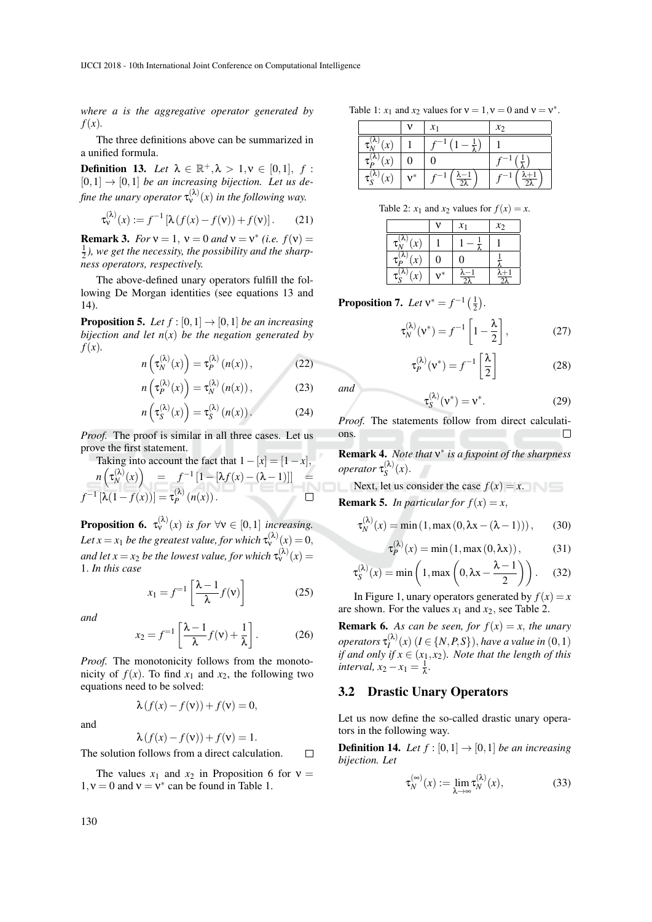*where a is the aggregative operator generated by f*(*x*)*.*

The three definitions above can be summarized in a unified formula.

**Definition 13.** *Let*  $\lambda \in \mathbb{R}^+, \lambda > 1, \nu \in [0,1], f$ :  $[0,1] \rightarrow [0,1]$  *be an increasing bijection. Let us de*fine the unary operator  $\tau_{v}^{(\lambda)}(x)$  in the following way.

$$
\tau_{\mathsf{v}}^{(\lambda)}(x) := f^{-1} \left[ \lambda \left( f(x) - f(\mathsf{v}) \right) + f(\mathsf{v}) \right]. \tag{21}
$$

**Remark 3.** *For*  $v = 1$ ,  $v = 0$  *and*  $v = v^*$  *(i.e.*  $f(v) =$ 1 2 *), we get the necessity, the possibility and the sharpness operators, respectively.*

The above-defined unary operators fulfill the following De Morgan identities (see equations 13 and 14).

**Proposition 5.** Let  $f : [0,1] \rightarrow [0,1]$  be an increasing *bijection and let n*(*x*) *be the negation generated by f*(*x*)*.*

$$
n\left(\tau_N^{(\lambda)}(x)\right) = \tau_P^{(\lambda)}\left(n(x)\right),\tag{22}
$$

$$
n\left(\tau_P^{(\lambda)}(x)\right) = \tau_N^{(\lambda)}(n(x)),\tag{23}
$$

$$
n\left(\tau_S^{(\lambda)}(x)\right) = \tau_S^{(\lambda)}(n(x)). \tag{24}
$$

*Proof.* The proof is similar in all three cases. Let us prove the first statement.

Taking into account the fact that  $1-[x] = [1-x]$ ,  $n\left(\tau_N^{(\lambda)}\right)$  $f^{-1}[1 - [\lambda f(x) - (\lambda - 1)]$  =  $f^{-1}\left[\lambda(1-f(x))\right]=\tau_P^{(\lambda)}$  $\Box$  $P^{(n)}(n(x))$ .

**Proposition 6.**  $\tau_{\mathsf{v}}^{(\lambda)}(x)$  *is for*  $\forall \mathsf{v} \in [0,1]$  *increasing.* Let  $x = x_1$  be the greatest value, for which  $\tau_{\mathsf{v}}^{(\lambda)}(x) = 0$ , and let  $x = x_2$  be the lowest value, for which  $\tau_\mathrm{v}^{(\lambda)}(x) =$ 1. *In this case*

$$
x_1 = f^{-1} \left[ \frac{\lambda - 1}{\lambda} f(v) \right] \tag{25}
$$

*and*

$$
x_2 = f^{-1} \left[ \frac{\lambda - 1}{\lambda} f(v) + \frac{1}{\lambda} \right].
$$
 (26)

*Proof.* The monotonicity follows from the monotonicity of  $f(x)$ . To find  $x_1$  and  $x_2$ , the following two equations need to be solved:

and

$$
\lambda(f(x) - f(v)) + f(v) = 0,
$$

$$
\lambda(f(x) - f(v)) + f(v) = 1.
$$

The solution follows from a direct calculation.  $\Box$ 

The values  $x_1$  and  $x_2$  in Proposition 6 for  $v =$  $1, v = 0$  and  $v = v^*$  can be found in Table 1.

Table 1:  $x_1$  and  $x_2$  values for  $v = 1$ ,  $v = 0$  and  $v = v^*$ .

|                            |       | $\mathcal{X}_1$              | $\mathcal{X}$                |
|----------------------------|-------|------------------------------|------------------------------|
| r                          |       | $r-1$                        |                              |
| $\tau_{\rm p}$             |       |                              |                              |
| $\tau_S^{(\wedge)}$<br>(x) | $v^*$ | $\frac{\lambda-1}{2\lambda}$ | $\frac{\lambda +}{2\lambda}$ |

Table 2:  $x_1$  and  $x_2$  values for  $f(x) = x$ .

|                |    | $\mathcal{X}_1$ | $\mathcal{X}$ |
|----------------|----|-----------------|---------------|
| $\overline{x}$ |    |                 |               |
| $\tau$         | 0  |                 |               |
|                | ,∗ |                 |               |

**Proposition 7.** *Let*  $v^* = f^{-1}(\frac{1}{2})$ *.* 

$$
\tau_N^{(\lambda)}(\mathbf{v}^*) = f^{-1}\left[1 - \frac{\lambda}{2}\right],\tag{27}
$$

$$
\tau_P^{(\lambda)}(\mathbf{v}^*) = f^{-1}\left[\frac{\lambda}{2}\right]
$$
 (28)

 $(29)$ 

*and*

*Proof.* The statements follow from direct calculations.  $\Box$ 

 $S^{(\kappa)}(v^*)=v^*$ 

 $\tau_{\scriptscriptstyle S}^{(\lambda)}$ 

Remark 4. *Note that* ν ∗ *is a fixpoint of the sharpness operator* τ (λ)  $S^{(\kappa)}(x)$ .

Next, let us consider the case  $f(x) = x$ . **Remark 5.** *In particular for*  $f(x) = x$ ,

$$
\tau_N^{(\lambda)}(x) = \min(1, \max(0, \lambda x - (\lambda - 1))), \quad (30)
$$

$$
\tau_P^{(\lambda)}(x) = \min(1, \max(0, \lambda x)), \tag{31}
$$

$$
\tau_S^{(\lambda)}(x) = \min\left(1, \max\left(0, \lambda x - \frac{\lambda - 1}{2}\right)\right). \tag{32}
$$

In Figure 1, unary operators generated by  $f(x) = x$ are shown. For the values  $x_1$  and  $x_2$ , see Table 2.

**Remark 6.** As can be seen, for  $f(x) = x$ , the unary *operators*  $\tau_l^{(\lambda)}(x)$   $(I \in \{N, P, S\})$ , *have a value in*  $(0, 1)$ *I if and only if x* ∈ (*x*1, *x*2)*. Note that the length of this interval,*  $x_2 - x_1 = \frac{1}{\lambda}$ .

#### 3.2 Drastic Unary Operators

Let us now define the so-called drastic unary operators in the following way.

**Definition 14.** *Let*  $f : [0,1] \rightarrow [0,1]$  *be an increasing bijection. Let*

$$
\tau_N^{(\infty)}(x) := \lim_{\lambda \to \infty} \tau_N^{(\lambda)}(x),\tag{33}
$$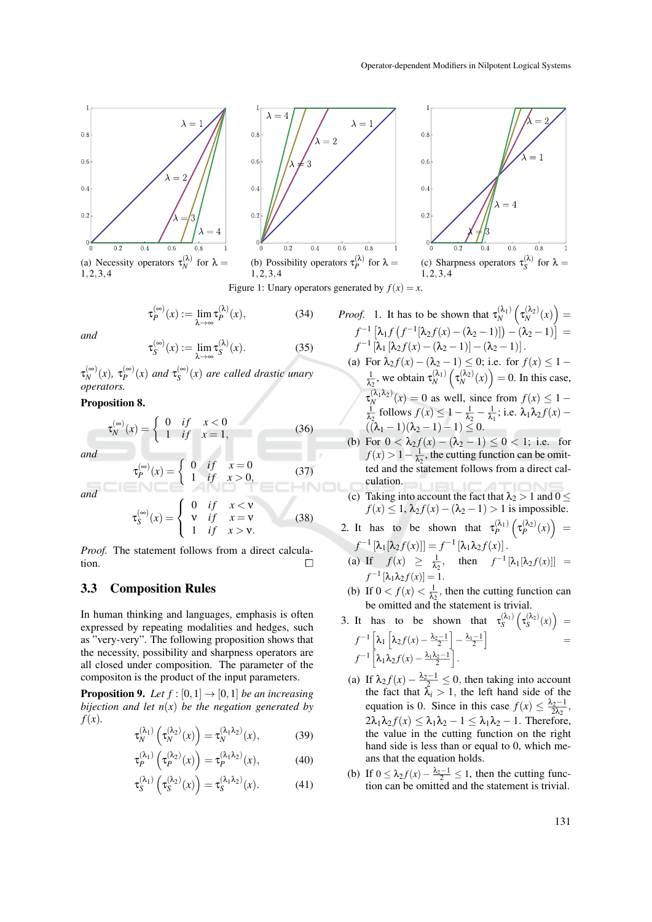





(c) Sharpness operators  $\tau_S^{(\lambda)}$  for  $\lambda =$  $1, 2, 3, 4$ 

Figure 1: Unary operators generated by  $f(x) = x$ .

$$
\tau_P^{(\infty)}(x) := \lim_{\lambda \to \infty} \tau_P^{(\lambda)}(x),\tag{34}
$$

*and*

$$
\tau_S^{(\infty)}(x) := \lim_{\lambda \to \infty} \tau_S^{(\lambda)}(x). \tag{35}
$$

 $\tau_{N}^{(\infty)}$  $\int_{N}^{(\infty)}(x), \tau_P^{(\infty)}$  $p_P^{(\infty)}(x)$  *and*  $\tau_S^{(\infty)}$ *S* (*x*) *are called drastic unary operators.*

#### Proposition 8.

$$
\tau_N^{(\infty)}(x) = \begin{cases} 0 & \text{if } x < 0 \\ 1 & \text{if } x = 1, \end{cases} \tag{36}
$$

*and*

*and*

$$
\tau_P^{(\infty)}(x) = \begin{cases} 0 & \text{if } x = 0 \\ 1 & \text{if } x > 0, \end{cases}
$$
(37)  

$$
\tau_S^{(\infty)}(x) = \begin{cases} 0 & \text{if } x < v \\ v & \text{if } x = v \\ 1 & \text{if } x > v. \end{cases}
$$
(38)

*Proof.* The statement follows from a direct calculation.  $\Box$ 

#### 3.3 Composition Rules

In human thinking and languages, emphasis is often expressed by repeating modalities and hedges, such as "very-very". The following proposition shows that the necessity, possibility and sharpness operators are all closed under composition. The parameter of the compositon is the product of the input parameters.

**Proposition 9.** *Let*  $f$  :  $[0,1] \rightarrow [0,1]$  *be an increasing bijection and let n*(*x*) *be the negation generated by f*(*x*)*.*

$$
\tau_N^{(\lambda_1)}\left(\tau_N^{(\lambda_2)}(x)\right) = \tau_N^{(\lambda_1 \lambda_2)}(x),\tag{39}
$$

$$
\tau_P^{(\lambda_1)}\left(\tau_P^{(\lambda_2)}(x)\right) = \tau_P^{(\lambda_1 \lambda_2)}(x),\tag{40}
$$

$$
\tau_S^{(\lambda_1)}\left(\tau_S^{(\lambda_2)}(x)\right) = \tau_S^{(\lambda_1\lambda_2)}(x). \tag{41}
$$

*Proof.* 1. It has to be shown that 
$$
\tau_N^{(\lambda_1)} \left( \tau_N^{(\lambda_2)}(x) \right) =
$$
 $f^{-1} \left[ \lambda_1 f \left( f^{-1} [\lambda_2 f(x) - (\lambda_2 - 1)] \right) - (\lambda_2 - 1) \right] =$  $f^{-1} \left[ \lambda_1 [\lambda_2 f(x) - (\lambda_2 - 1)] - (\lambda_2 - 1) \right].$ \n(a) For  $\lambda_2 f(x) - (\lambda_2 - 1) \leq 0$ ; i.e. for  $f(x) \leq 1 - \frac{1}{\lambda_2}$ , we obtain  $\tau_N^{(\lambda_1)} \left( \tau_N^{(\lambda_2)}(x) \right) = 0$ . In this case,  $\tau_N^{(\lambda_1 \lambda_2)}(x) = 0$  as well, since from  $f(x) \leq 1 - \frac{1}{\lambda_2}$  follows  $f(x) \leq 1 - \frac{1}{\lambda_2} - \frac{1}{\lambda_1}$ ; i.e.  $\lambda_1 \lambda_2 f(x) - (\lambda_1 - 1)(\lambda_2 - 1) - 1) \leq 0$ .

- (b) For  $0 < \lambda_2 f(x) (\lambda_2 1) \le 0 < 1$ ; i.e. for  $f(x) > 1 - \frac{1}{\lambda_2}$ , the cutting function can be omitted and the statement follows from a direct calculation.
- (c) Taking into account the fact that  $\lambda_2 > 1$  and  $0 \leq$ *f*(*x*) ≤ 1,  $\lambda_2 f(x) - (\lambda_2 - 1) > 1$  is impossible.

2. It has to be shown that 
$$
\tau_P^{(\lambda_1)}(\tau_P^{(\lambda_2)}(x)) = f^{-1}[\lambda_1[\lambda_2 f(x)]] = f^{-1}[\lambda_1 \lambda_2 f(x)].
$$

(a) If 
$$
f(x) \ge \frac{1}{\lambda_2}
$$
, then  $f^{-1}[\lambda_1[\lambda_2 f(x)]] =$   
 $f^{-1}[\lambda_1 \lambda_2 f(x)] = 1$ .

(b) If  $0 < f(x) < \frac{1}{\lambda_2}$ , then the cutting function can be omitted and the statement is trivial.

3. It has to be shown that 
$$
\tau_S^{(\lambda_1)}(\tau_S^{(\lambda_2)}(x)) =
$$
  
\n
$$
f^{-1} \left[ \lambda_1 \left[ \lambda_2 f(x) - \frac{\lambda_2 - 1}{2} \right] - \frac{\lambda_1 - 1}{2} \right] =
$$
\n
$$
f^{-1} \left[ \lambda_1 \lambda_2 f(x) - \frac{\lambda_1 \lambda_2 - 1}{2} \right].
$$

- (a) If  $\lambda_2 f(x) \frac{\lambda_2 1}{2} \leq 0$ , then taking into account the fact that  $\lambda_i > 1$ , the left hand side of the equation is 0. Since in this case  $f(x) \leq \frac{\lambda_2 - 1}{2\lambda_2}$ ,  $2\lambda_1\lambda_2 f(x) \leq \lambda_1\lambda_2 - 1 \leq \lambda_1\lambda_2 - 1$ . Therefore, the value in the cutting function on the right hand side is less than or equal to 0, which means that the equation holds.
- (b) If  $0 \leq \lambda_2 f(x) \frac{\lambda_2 1}{2} \leq 1$ , then the cutting function can be omitted and the statement is trivial.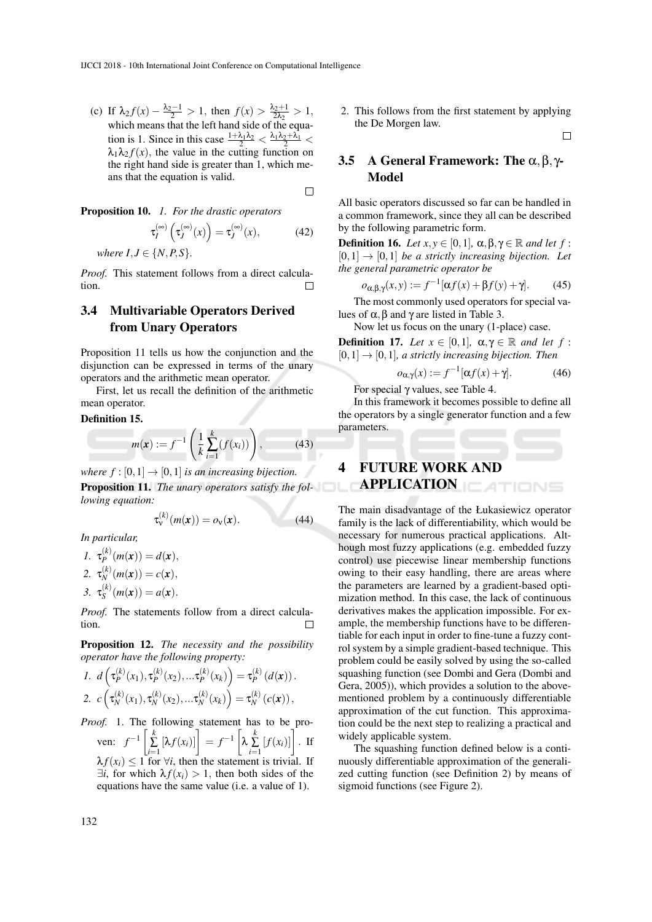(c) If  $\lambda_2 f(x) - \frac{\lambda_2 - 1}{2} > 1$ , then  $f(x) > \frac{\lambda_2 + 1}{2\lambda_2}$  $\frac{2+1}{2\lambda_2} > 1,$ which means that the left hand side of the equation is 1. Since in this case  $\frac{1+\lambda_1\lambda_2}{2} < \frac{\lambda_1\lambda_2+\lambda_1}{2} <$  $\lambda_1 \lambda_2 f(x)$ , the value in the cutting function on the right hand side is greater than 1, which means that the equation is valid.

 $\Box$ 

Proposition 10. *1. For the drastic operators*

$$
\tau_I^{(\infty)}\left(\tau_J^{(\infty)}(x)\right) = \tau_J^{(\infty)}(x),\tag{42}
$$

*where*  $I, J \in \{N, P, S\}$ *.* 

*Proof.* This statement follows from a direct calculation.

## 3.4 Multivariable Operators Derived from Unary Operators

Proposition 11 tells us how the conjunction and the disjunction can be expressed in terms of the unary operators and the arithmetic mean operator.

First, let us recall the definition of the arithmetic mean operator.

#### Definition 15.

$$
m(x) := f^{-1}\left(\frac{1}{k}\sum_{i=1}^{k}(f(x_i))\right),
$$
 (43)

*where f* :  $[0,1] \rightarrow [0,1]$  *is an increasing bijection.* Proposition 11. *The unary operators satisfy the following equation:*

$$
\tau_{\mathsf{v}}^{(k)}(m(\mathbf{x})) = o_{\mathsf{v}}(\mathbf{x}). \tag{44}
$$

*In particular,*

1. 
$$
\tau_P^{(k)}(m(\mathbf{x})) = d(\mathbf{x}),
$$
  
\n2.  $\tau_N^{(k)}(m(\mathbf{x})) = c(\mathbf{x}),$   
\n3.  $\tau_S^{(k)}(m(\mathbf{x})) = a(\mathbf{x}).$ 

*Proof.* The statements follow from a direct calculation. П

Proposition 12. *The necessity and the possibility operator have the following property:*

1. 
$$
d\left(\tau_P^{(k)}(x_1), \tau_P^{(k)}(x_2), \dots \tau_P^{(k)}(x_k)\right) = \tau_P^{(k)}(d(\mathbf{x})).
$$
  
2.  $c\left(\tau_N^{(k)}(x_1), \tau_N^{(k)}(x_2), \dots \tau_N^{(k)}(x_k)\right) = \tau_N^{(k)}(c(\mathbf{x})),$ 

*Proof.* 1. The following statement has to be proven:  $f^{-1} \left[ \sum_{i=1}^{k} [\lambda f(x_i)] \right] = f^{-1} \left[$  $\lambda \sum_{i=1}^{k} [f(x_i)]$ . If  $\lambda f(x_i) \leq 1$  for  $\forall i$ , then the statement is trivial. If  $\exists i$ , for which  $\lambda f(x_i) > 1$ , then both sides of the equations have the same value (i.e. a value of 1).

2. This follows from the first statement by applying the De Morgen law.

 $\Box$ 

## 3.5 A General Framework: The  $\alpha, \beta, \gamma$ -Model

All basic operators discussed so far can be handled in a common framework, since they all can be described by the following parametric form.

**Definition 16.** *Let*  $x, y \in [0, 1]$ *,*  $\alpha, \beta, \gamma \in \mathbb{R}$  *and let*  $f$ :  $[0,1] \rightarrow [0,1]$  *be a strictly increasing bijection. Let the general parametric operator be*

$$
o_{\alpha,\beta,\gamma}(x,y) := f^{-1}[\alpha f(x) + \beta f(y) + \gamma].
$$
 (45)

The most commonly used operators for special values of  $\alpha$ ,  $\beta$  and  $\gamma$  are listed in Table 3.

Now let us focus on the unary (1-place) case.

**Definition 17.** *Let*  $x \in [0,1]$ ,  $\alpha, \gamma \in \mathbb{R}$  *and let* f:  $[0,1] \rightarrow [0,1]$ *, a strictly increasing bijection. Then* 

$$
o_{\alpha,\gamma}(x) := f^{-1}[\alpha f(x) + \gamma].\tag{46}
$$

For special γ values, see Table 4.

In this framework it becomes possible to define all the operators by a single generator function and a few parameters.

# 4 FUTURE WORK AND **APPLICATION CATIONS**

The main disadvantage of the Łukasiewicz operator family is the lack of differentiability, which would be necessary for numerous practical applications. Although most fuzzy applications (e.g. embedded fuzzy control) use piecewise linear membership functions owing to their easy handling, there are areas where the parameters are learned by a gradient-based optimization method. In this case, the lack of continuous derivatives makes the application impossible. For example, the membership functions have to be differentiable for each input in order to fine-tune a fuzzy control system by a simple gradient-based technique. This problem could be easily solved by using the so-called squashing function (see Dombi and Gera (Dombi and Gera, 2005)), which provides a solution to the abovementioned problem by a continuously differentiable approximation of the cut function. This approximation could be the next step to realizing a practical and widely applicable system.

The squashing function defined below is a continuously differentiable approximation of the generalized cutting function (see Definition 2) by means of sigmoid functions (see Figure 2).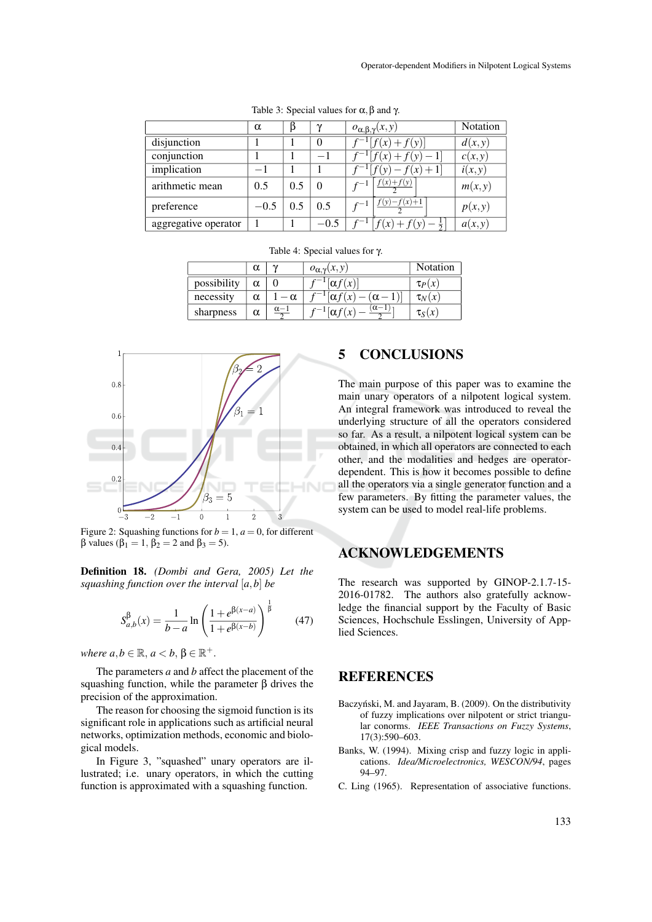|                      | $\alpha$ | ß   | $\sim$   | $o_{\alpha,\beta,\gamma}(x,y)$ | Notation |
|----------------------|----------|-----|----------|--------------------------------|----------|
| disjunction          |          |     | $\Omega$ | $+f(y)$                        | d(x,y)   |
| conjunction          |          |     | -1       |                                | c(x, y)  |
| implication          | $-1$     |     |          | $f(x) + 1$                     | i(x, y)  |
| arithmetic mean      | 0.5      | 0.5 | $\Omega$ | $f(x) + f(y)$                  | m(x, y)  |
| preference           | $-0.5$   | 0.5 | 0.5      | $- f(x) + 1$                   | p(x, y)  |
| aggregative operator |          |     | $-0.5$   | $\mathcal{X}$                  | a(x, y)  |
|                      |          |     |          |                                |          |

Table 4: Special values for γ.

 $-1$ 

 $-1$ 

*f*  $-1$  $\alpha f(x)$ 

 $\alpha$  |  $\gamma$  |  $o_{\alpha}$  (*x*, *y*) | Notation

Table 3: Special values for  $\alpha$ ,  $\beta$  and  $\gamma$ .

| 1            |      |         |                |                  |       |            |  |
|--------------|------|---------|----------------|------------------|-------|------------|--|
|              |      |         |                |                  | ٠.    |            |  |
| 0.8          |      |         |                |                  |       |            |  |
| 0.6          |      |         |                |                  | 1     |            |  |
| 0.4          |      |         |                |                  |       |            |  |
| $0.2\,$      |      |         |                |                  |       |            |  |
| $rac{0}{-3}$ | $-2$ | $^{-1}$ | $\overline{0}$ | $\beta_3=5$<br>1 | $\,2$ | $\sqrt{3}$ |  |

possibility  $\alpha \mid 0$ 

sharpness  $\alpha$ 

necessity  $\alpha$  | 1 −  $\alpha$ 

 $\alpha-1$ 2

Figure 2: Squashing functions for  $b = 1$ ,  $a = 0$ , for different β values ( $β$ <sub>1</sub> = 1,  $β$ <sub>2</sub> = 2 and  $β$ <sub>3</sub> = 5).

Definition 18. *(Dombi and Gera, 2005) Let the squashing function over the interval* [*a*,*b*] *be*

$$
S_{a,b}^{\beta}(x) = \frac{1}{b-a} \ln \left( \frac{1 + e^{\beta(x-a)}}{1 + e^{\beta(x-b)}} \right)^{\frac{1}{\beta}}
$$
(47)

 $where a,b \in \mathbb{R}, a < b, \beta \in \mathbb{R}^+$ .

The parameters *a* and *b* affect the placement of the squashing function, while the parameter β drives the precision of the approximation.

The reason for choosing the sigmoid function is its significant role in applications such as artificial neural networks, optimization methods, economic and biological models.

In Figure 3, "squashed" unary operators are illustrated; i.e. unary operators, in which the cutting function is approximated with a squashing function.

## 5 CONCLUSIONS

 $\tau_S(x)$ 

 $\sigma$ *[*α*f*(*x*)]  $\sigma$ *p*(*x*)

 $\lceil \alpha f(x) - (\alpha - 1) \rceil$  |  $\tau_N(x)$ 

 $(\alpha-1)$ 2

The main purpose of this paper was to examine the main unary operators of a nilpotent logical system. An integral framework was introduced to reveal the underlying structure of all the operators considered so far. As a result, a nilpotent logical system can be obtained, in which all operators are connected to each other, and the modalities and hedges are operatordependent. This is how it becomes possible to define all the operators via a single generator function and a few parameters. By fitting the parameter values, the system can be used to model real-life problems.

### ACKNOWLEDGEMENTS

The research was supported by GINOP-2.1.7-15- 2016-01782. The authors also gratefully acknowledge the financial support by the Faculty of Basic Sciences, Hochschule Esslingen, University of Applied Sciences.

## **REFERENCES**

- Baczyński, M. and Jayaram, B. (2009). On the distributivity of fuzzy implications over nilpotent or strict triangular conorms. *IEEE Transactions on Fuzzy Systems*, 17(3):590–603.
- Banks, W. (1994). Mixing crisp and fuzzy logic in applications. *Idea/Microelectronics, WESCON/94*, pages 94–97.
- C. Ling (1965). Representation of associative functions.